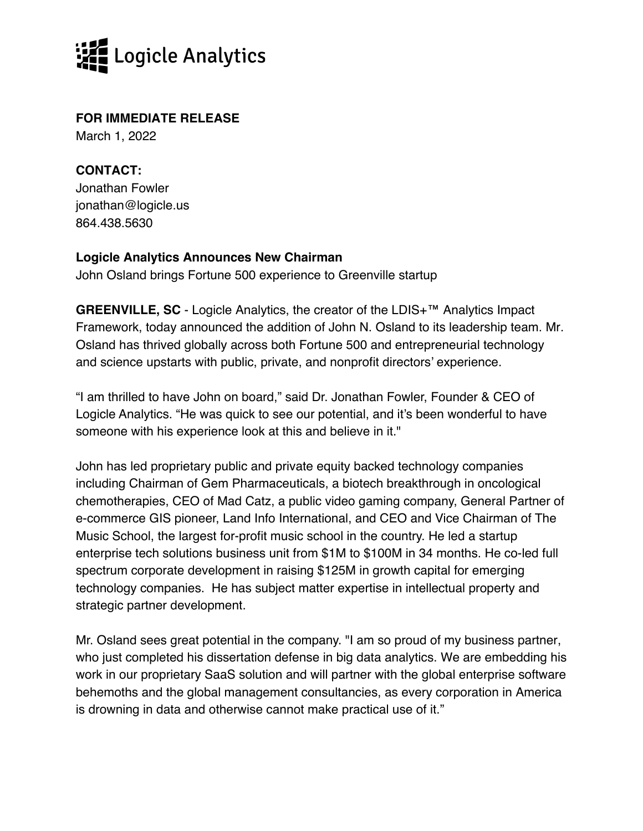

## **FOR IMMEDIATE RELEASE**

March 1, 2022

**CONTACT:** Jonathan Fowler jonathan@logicle.us 864.438.5630

## **Logicle Analytics Announces New Chairman**

John Osland brings Fortune 500 experience to Greenville startup

**GREENVILLE, SC** - Logicle Analytics, the creator of the LDIS+™ Analytics Impact Framework, today announced the addition of John N. Osland to its leadership team. Mr. Osland has thrived globally across both Fortune 500 and entrepreneurial technology and science upstarts with public, private, and nonprofit directors' experience.

"I am thrilled to have John on board," said Dr. Jonathan Fowler, Founder & CEO of Logicle Analytics. "He was quick to see our potential, and it's been wonderful to have someone with his experience look at this and believe in it."

John has led proprietary public and private equity backed technology companies including Chairman of Gem Pharmaceuticals, a biotech breakthrough in oncological chemotherapies, CEO of Mad Catz, a public video gaming company, General Partner of e-commerce GIS pioneer, Land Info International, and CEO and Vice Chairman of The Music School, the largest for-profit music school in the country. He led a startup enterprise tech solutions business unit from \$1M to \$100M in 34 months. He co-led full spectrum corporate development in raising \$125M in growth capital for emerging technology companies. He has subject matter expertise in intellectual property and strategic partner development.

Mr. Osland sees great potential in the company. "I am so proud of my business partner, who just completed his dissertation defense in big data analytics. We are embedding his work in our proprietary SaaS solution and will partner with the global enterprise software behemoths and the global management consultancies, as every corporation in America is drowning in data and otherwise cannot make practical use of it."